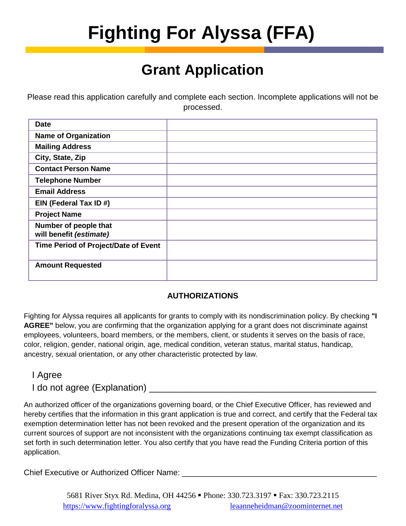# **Fighting For Alyssa (FFA)**

## **Grant Application**

Please read this application carefully and complete each section. Incomplete applications will not be processed.

| <b>Date</b>                                      |  |
|--------------------------------------------------|--|
| <b>Name of Organization</b>                      |  |
| <b>Mailing Address</b>                           |  |
| City, State, Zip                                 |  |
| <b>Contact Person Name</b>                       |  |
| <b>Telephone Number</b>                          |  |
| <b>Email Address</b>                             |  |
| EIN (Federal Tax ID #)                           |  |
| <b>Project Name</b>                              |  |
| Number of people that<br>will benefit (estimate) |  |
| Time Period of Project/Date of Event             |  |
| <b>Amount Requested</b>                          |  |

### **AUTHORIZATIONS**

Fighting for Alyssa requires all applicants for grants to comply with its nondiscrimination policy. By checking **"I AGREE"** below, you are confirming that the organization applying for a grant does not discriminate against employees, volunteers, board members, or the members, client, or students it serves on the basis of race, color, religion, gender, national origin, age, medical condition, veteran status, marital status, handicap, ancestry, sexual orientation, or any other characteristic protected by law.

### I Agree

### I do not agree (Explanation)

An authorized officer of the organizations governing board, or the Chief Executive Officer, has reviewed and hereby certifies that the information in this grant application is true and correct, and certify that the Federal tax exemption determination letter has not been revoked and the present operation of the organization and its current sources of support are not inconsistent with the organizations continuing tax exempt classification as set forth in such determination letter. You also certify that you have read the Funding Criteria portion of this application.

Chief Executive or Authorized Officer Name: